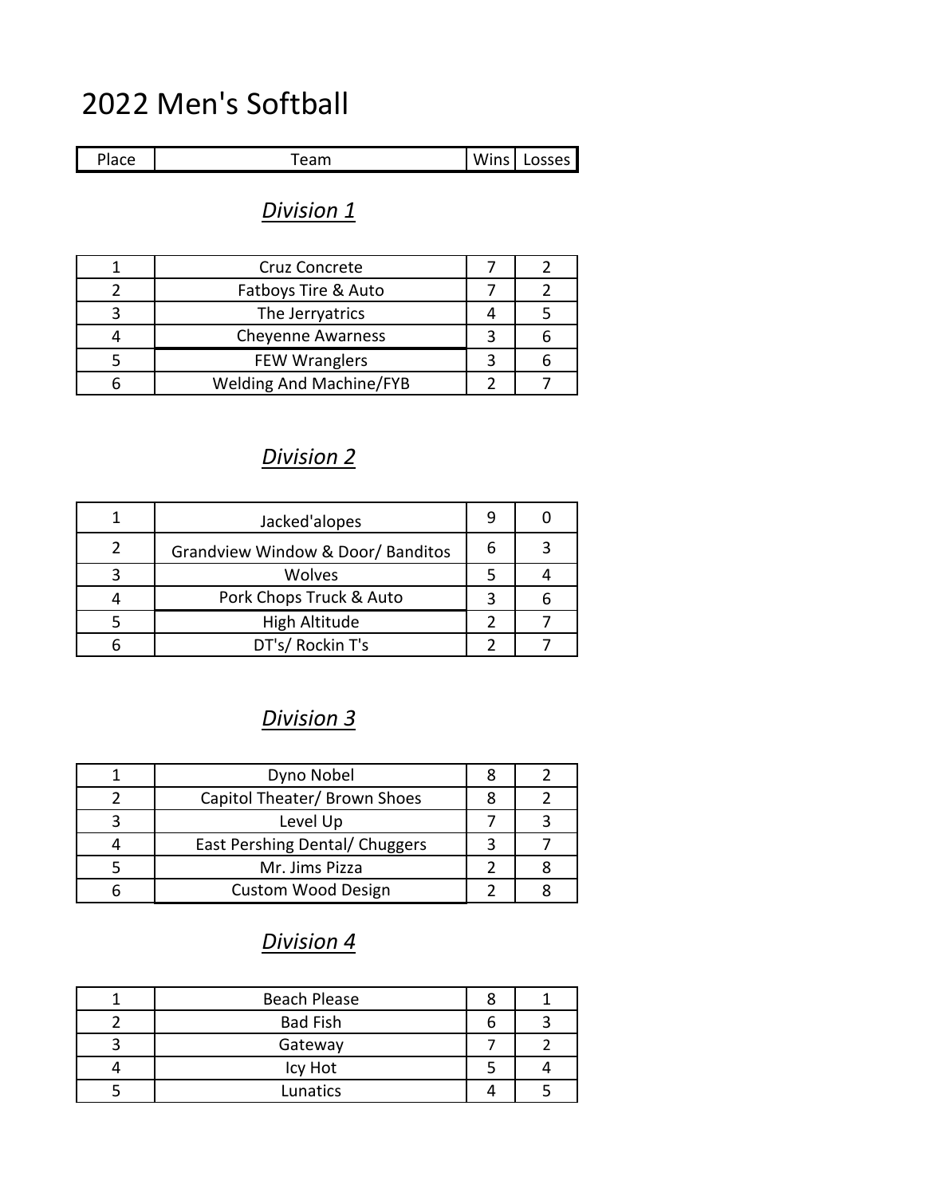# 2022 Men's Softball

| lace | $\sim$<br>"CdII. | Wi<br>יי | 0.000 |
|------|------------------|----------|-------|

# *Division 1*

| Cruz Concrete                  |  |
|--------------------------------|--|
| Fatboys Tire & Auto            |  |
| The Jerryatrics                |  |
| <b>Cheyenne Awarness</b>       |  |
| <b>FEW Wranglers</b>           |  |
| <b>Welding And Machine/FYB</b> |  |

### *Division 2*

| Jacked'alopes                                |   |  |
|----------------------------------------------|---|--|
| <b>Grandview Window &amp; Door/ Banditos</b> | 6 |  |
| Wolves                                       |   |  |
| Pork Chops Truck & Auto                      |   |  |
| <b>High Altitude</b>                         |   |  |
| DT's/ Rockin T's                             |   |  |

#### *Division 3*

| Dyno Nobel                     |  |
|--------------------------------|--|
| Capitol Theater/ Brown Shoes   |  |
| Level Up                       |  |
| East Pershing Dental/ Chuggers |  |
| Mr. Jims Pizza                 |  |
| <b>Custom Wood Design</b>      |  |

#### *Division 4*

| <b>Beach Please</b> |  |
|---------------------|--|
| <b>Bad Fish</b>     |  |
| Gateway             |  |
| Icy Hot             |  |
| Lunatics            |  |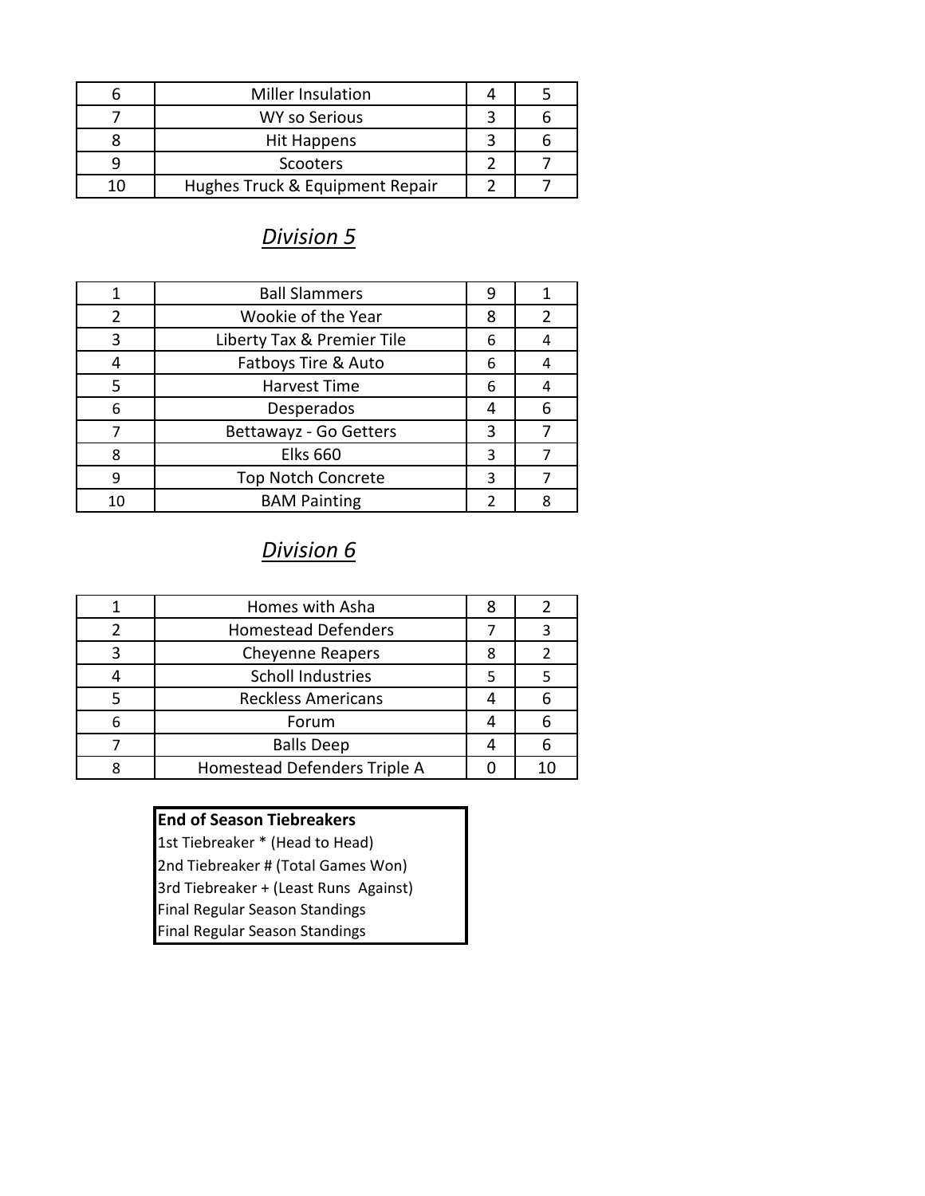|     | Miller Insulation               |  |
|-----|---------------------------------|--|
|     | <b>WY so Serious</b>            |  |
|     | <b>Hit Happens</b>              |  |
|     | Scooters                        |  |
| ח ו | Hughes Truck & Equipment Repair |  |

#### *Division 5*

|    | <b>Ball Slammers</b>       | q |   |
|----|----------------------------|---|---|
| 2  | Wookie of the Year         | 8 |   |
| 3  | Liberty Tax & Premier Tile | 6 |   |
| 4  | Fatboys Tire & Auto        | 6 |   |
| 5  | Harvest Time               | 6 |   |
| 6  | Desperados                 |   | 6 |
|    | Bettawayz - Go Getters     | 3 |   |
| 8  | <b>Elks 660</b>            | 3 |   |
| 9  | <b>Top Notch Concrete</b>  | 3 |   |
| 10 | <b>BAM Painting</b>        | っ |   |

# *Division 6*

| Homes with Asha              | 8 |  |
|------------------------------|---|--|
| <b>Homestead Defenders</b>   |   |  |
| <b>Cheyenne Reapers</b>      |   |  |
| <b>Scholl Industries</b>     |   |  |
| <b>Reckless Americans</b>    |   |  |
| Forum                        |   |  |
| <b>Balls Deep</b>            |   |  |
| Homestead Defenders Triple A |   |  |
|                              |   |  |

#### **End of Season Tiebreakers**

1st Tiebreaker \* (Head to Head) 2nd Tiebreaker # (Total Games Won) 3rd Tiebreaker + (Least Runs Against) Final Regular Season Standings Final Regular Season Standings